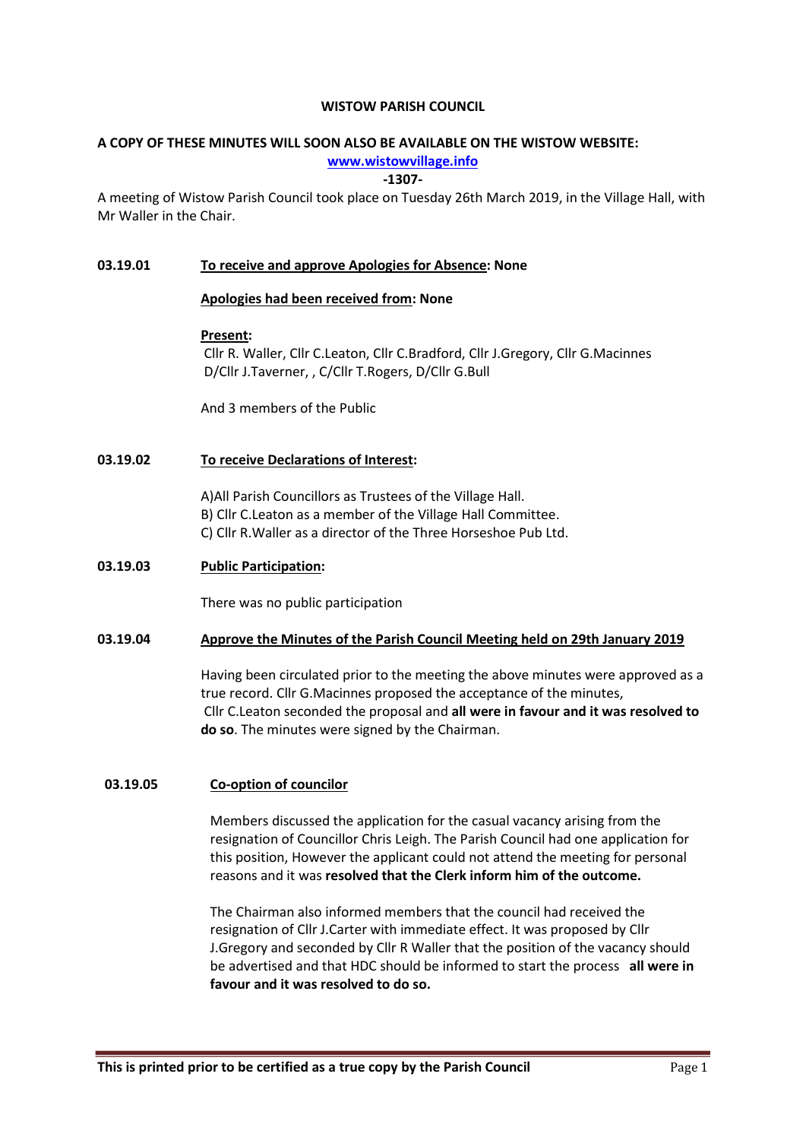## WISTOW PARISH COUNCIL

# A COPY OF THESE MINUTES WILL SOON ALSO BE AVAILABLE ON THE WISTOW WEBSITE:

## www.wistowvillage.info

## -1307-

A meeting of Wistow Parish Council took place on Tuesday 26th March 2019, in the Village Hall, with Mr Waller in the Chair.

## 03.19.01 To receive and approve Apologies for Absence: None

## Apologies had been received from: None

## Present:

 Cllr R. Waller, Cllr C.Leaton, Cllr C.Bradford, Cllr J.Gregory, Cllr G.Macinnes D/Cllr J.Taverner, , C/Cllr T.Rogers, D/Cllr G.Bull

And 3 members of the Public

# 03.19.02 To receive Declarations of Interest:

A)All Parish Councillors as Trustees of the Village Hall. B) Cllr C.Leaton as a member of the Village Hall Committee. C) Cllr R.Waller as a director of the Three Horseshoe Pub Ltd.

## 03.19.03 Public Participation:

There was no public participation

## 03.19.04 Approve the Minutes of the Parish Council Meeting held on 29th January 2019

Having been circulated prior to the meeting the above minutes were approved as a true record. Cllr G.Macinnes proposed the acceptance of the minutes, Cllr C.Leaton seconded the proposal and all were in favour and it was resolved to do so. The minutes were signed by the Chairman.

## 03.19.05 Co-option of councilor

Members discussed the application for the casual vacancy arising from the resignation of Councillor Chris Leigh. The Parish Council had one application for this position, However the applicant could not attend the meeting for personal reasons and it was resolved that the Clerk inform him of the outcome.

The Chairman also informed members that the council had received the resignation of Cllr J.Carter with immediate effect. It was proposed by Cllr J.Gregory and seconded by Cllr R Waller that the position of the vacancy should be advertised and that HDC should be informed to start the process all were in favour and it was resolved to do so.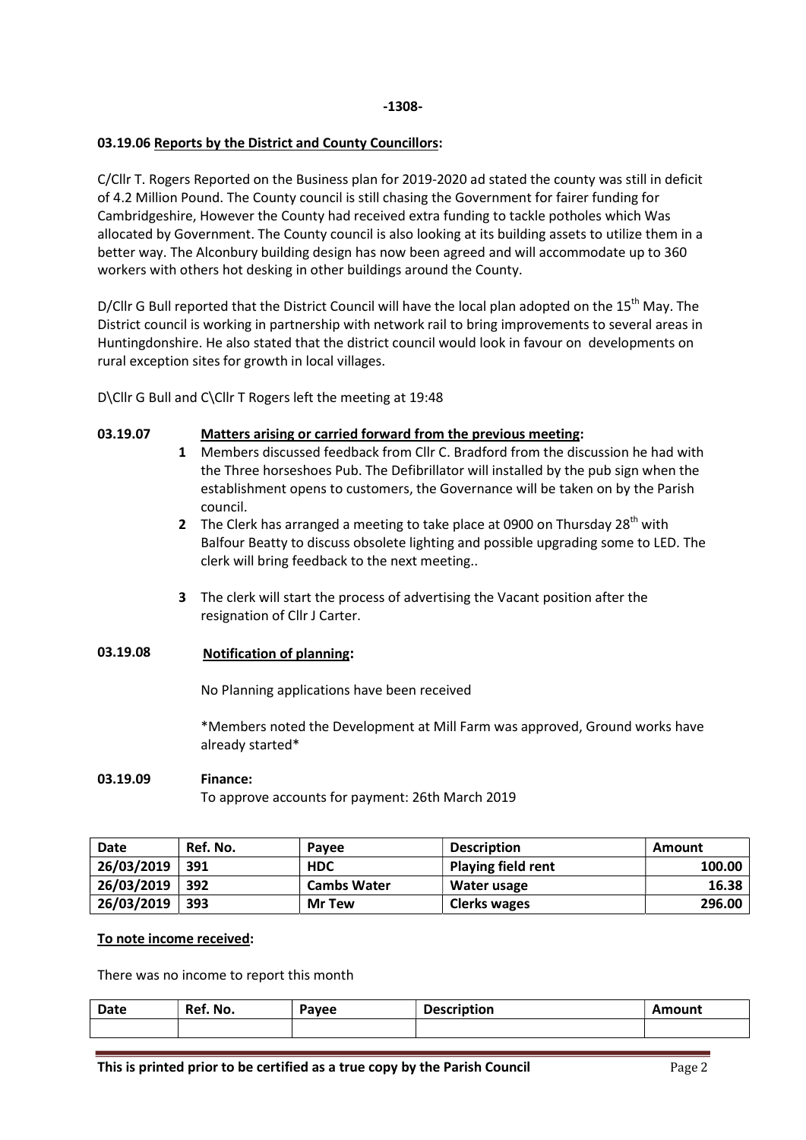## 03.19.06 Reports by the District and County Councillors:

C/Cllr T. Rogers Reported on the Business plan for 2019-2020 ad stated the county was still in deficit of 4.2 Million Pound. The County council is still chasing the Government for fairer funding for Cambridgeshire, However the County had received extra funding to tackle potholes which Was allocated by Government. The County council is also looking at its building assets to utilize them in a better way. The Alconbury building design has now been agreed and will accommodate up to 360 workers with others hot desking in other buildings around the County.

D/Cllr G Bull reported that the District Council will have the local plan adopted on the 15<sup>th</sup> May. The District council is working in partnership with network rail to bring improvements to several areas in Huntingdonshire. He also stated that the district council would look in favour on developments on rural exception sites for growth in local villages.

D\Cllr G Bull and C\Cllr T Rogers left the meeting at 19:48

#### 03.19.07 Matters arising or carried forward from the previous meeting:

- 1 Members discussed feedback from Cllr C. Bradford from the discussion he had with the Three horseshoes Pub. The Defibrillator will installed by the pub sign when the establishment opens to customers, the Governance will be taken on by the Parish council.
- 2 The Clerk has arranged a meeting to take place at 0900 on Thursday 28<sup>th</sup> with Balfour Beatty to discuss obsolete lighting and possible upgrading some to LED. The clerk will bring feedback to the next meeting..
- 3 The clerk will start the process of advertising the Vacant position after the resignation of Cllr J Carter.

# 03.19.08 Notification of planning:

No Planning applications have been received

\*Members noted the Development at Mill Farm was approved, Ground works have already started\*

### 03.19.09 Finance:

To approve accounts for payment: 26th March 2019

| Date       | Ref. No. | Pavee              | <b>Description</b> | Amount |
|------------|----------|--------------------|--------------------|--------|
| 26/03/2019 | 391      | <b>HDC</b>         | Playing field rent | 100.00 |
| 26/03/2019 | 392      | <b>Cambs Water</b> | Water usage        | 16.38  |
| 26/03/2019 | 393      | <b>Mr Tew</b>      | Clerks wages       | 296.00 |

### To note income received:

There was no income to report this month

| Date | Ref. No. | Pavee | ۱ti∩n | Amount |
|------|----------|-------|-------|--------|
|      |          |       |       |        |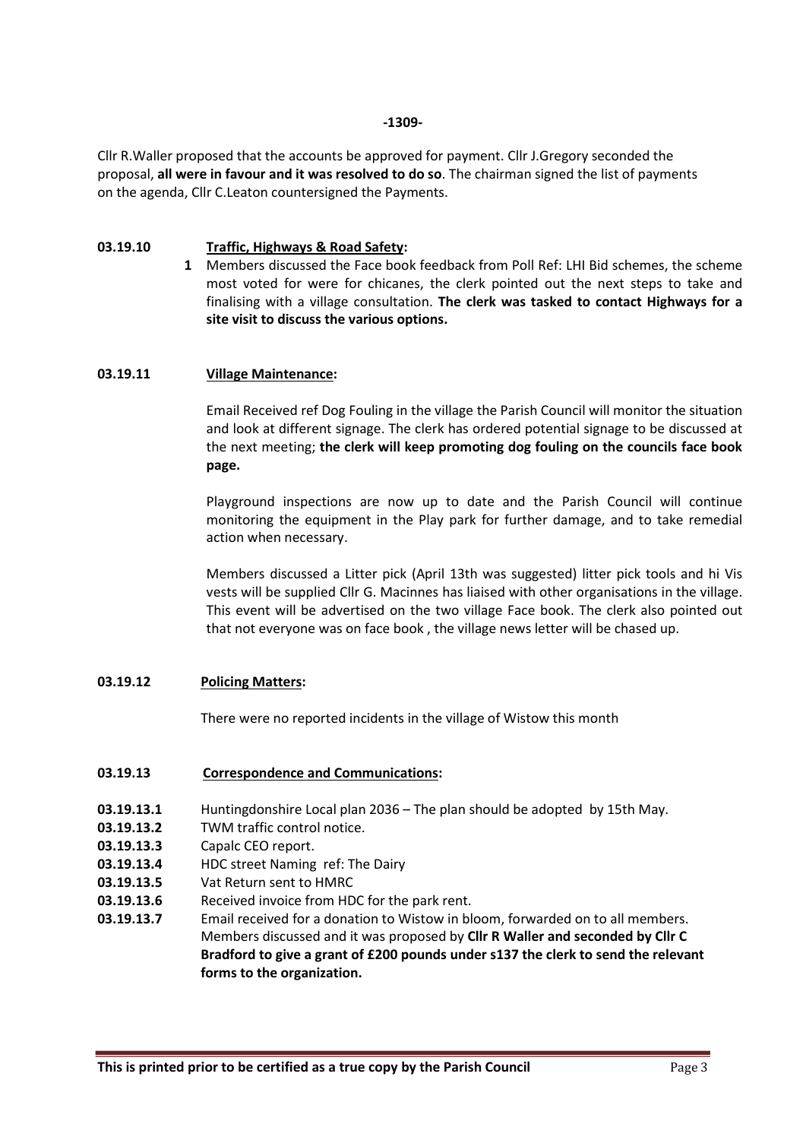-1309-

Cllr R.Waller proposed that the accounts be approved for payment. Cllr J.Gregory seconded the proposal, all were in favour and it was resolved to do so. The chairman signed the list of payments on the agenda, Cllr C.Leaton countersigned the Payments.

#### 03.19.10 Traffic, Highways & Road Safety:

1 Members discussed the Face book feedback from Poll Ref: LHI Bid schemes, the scheme most voted for were for chicanes, the clerk pointed out the next steps to take and finalising with a village consultation. The clerk was tasked to contact Highways for a site visit to discuss the various options.

## 03.19.11 Village Maintenance:

Email Received ref Dog Fouling in the village the Parish Council will monitor the situation and look at different signage. The clerk has ordered potential signage to be discussed at the next meeting; the clerk will keep promoting dog fouling on the councils face book page.

Playground inspections are now up to date and the Parish Council will continue monitoring the equipment in the Play park for further damage, and to take remedial action when necessary.

Members discussed a Litter pick (April 13th was suggested) litter pick tools and hi Vis vests will be supplied Cllr G. Macinnes has liaised with other organisations in the village. This event will be advertised on the two village Face book. The clerk also pointed out that not everyone was on face book , the village news letter will be chased up.

# 03.19.12 Policing Matters:

There were no reported incidents in the village of Wistow this month

## 03.19.13 Correspondence and Communications:

- 03.19.13.1 Huntingdonshire Local plan 2036 The plan should be adopted by 15th May.
- 03.19.13.2 TWM traffic control notice.
- 03.19.13.3 Capalc CEO report.
- 03.19.13.4 HDC street Naming ref: The Dairy
- 03.19.13.5 Vat Return sent to HMRC
- 03.19.13.6 Received invoice from HDC for the park rent.
- 03.19.13.7 Email received for a donation to Wistow in bloom, forwarded on to all members. Members discussed and it was proposed by Cllr R Waller and seconded by Cllr C Bradford to give a grant of £200 pounds under s137 the clerk to send the relevant forms to the organization.